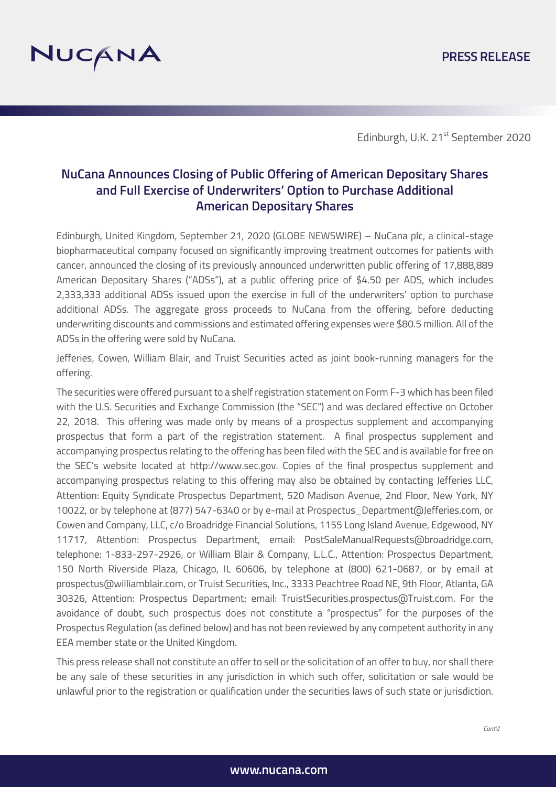

Edinburgh, U.K. 21<sup>st</sup> September 2020

# **NuCana Announces Closing of Public Offering of American Depositary Shares and Full Exercise of Underwriters' Option to Purchase Additional American Depositary Shares**

Edinburgh, United Kingdom, September 21, 2020 (GLOBE NEWSWIRE) – NuCana plc, a clinical-stage biopharmaceutical company focused on significantly improving treatment outcomes for patients with cancer, announced the closing of its previously announced underwritten public offering of 17,888,889 American Depositary Shares ("ADSs"), at a public offering price of \$4.50 per ADS, which includes 2,333,333 additional ADSs issued upon the exercise in full of the underwriters' option to purchase additional ADSs. The aggregate gross proceeds to NuCana from the offering, before deducting underwriting discounts and commissions and estimated offering expenses were \$80.5 million. All of the ADSs in the offering were sold by NuCana.

Jefferies, Cowen, William Blair, and Truist Securities acted as joint book-running managers for the offering.

The securities were offered pursuant to a shelf registration statement on Form F-3 which has been filed with the U.S. Securities and Exchange Commission (the "SEC") and was declared effective on October 22, 2018. This offering was made only by means of a prospectus supplement and accompanying prospectus that form a part of the registration statement. A final prospectus supplement and accompanying prospectus relating to the offering has been filed with the SEC and is available for free on the SEC's website located at http://www.sec.gov. Copies of the final prospectus supplement and accompanying prospectus relating to this offering may also be obtained by contacting Jefferies LLC, Attention: Equity Syndicate Prospectus Department, 520 Madison Avenue, 2nd Floor, New York, NY 10022, or by telephone at (877) 547-6340 or by e-mail at Prospectus\_Department@Jefferies.com, or Cowen and Company, LLC, c/o Broadridge Financial Solutions, 1155 Long Island Avenue, Edgewood, NY 11717, Attention: Prospectus Department, email: PostSaleManualRequests@broadridge.com, telephone: 1-833-297-2926, or William Blair & Company, L.L.C., Attention: Prospectus Department, 150 North Riverside Plaza, Chicago, IL 60606, by telephone at (800) 621-0687, or by email at prospectus@williamblair.com, or Truist Securities, Inc., 3333 Peachtree Road NE, 9th Floor, Atlanta, GA 30326, Attention: Prospectus Department; email: TruistSecurities.prospectus@Truist.com. For the avoidance of doubt, such prospectus does not constitute a "prospectus" for the purposes of the Prospectus Regulation (as defined below) and has not been reviewed by any competent authority in any EEA member state or the United Kingdom.

This press release shall not constitute an offer to sell or the solicitation of an offer to buy, nor shall there be any sale of these securities in any jurisdiction in which such offer, solicitation or sale would be unlawful prior to the registration or qualification under the securities laws of such state or jurisdiction.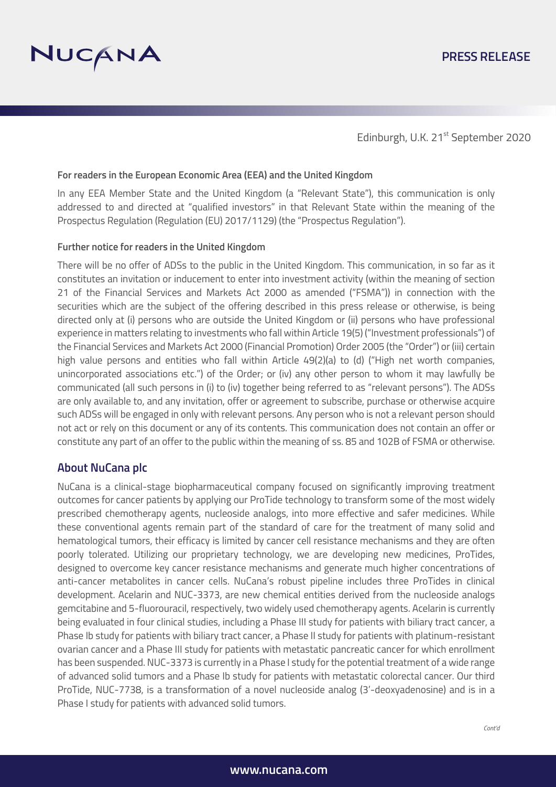

Edinburgh, U.K. 21<sup>st</sup> September 2020

### **For readers in the European Economic Area (EEA) and the United Kingdom**

In any EEA Member State and the United Kingdom (a "Relevant State"), this communication is only addressed to and directed at "qualified investors" in that Relevant State within the meaning of the Prospectus Regulation (Regulation (EU) 2017/1129) (the "Prospectus Regulation").

#### **Further notice for readers in the United Kingdom**

There will be no offer of ADSs to the public in the United Kingdom. This communication, in so far as it constitutes an invitation or inducement to enter into investment activity (within the meaning of section 21 of the Financial Services and Markets Act 2000 as amended ("FSMA")) in connection with the securities which are the subject of the offering described in this press release or otherwise, is being directed only at (i) persons who are outside the United Kingdom or (ii) persons who have professional experience in matters relating to investments who fall within Article 19(5) ("Investment professionals") of the Financial Services and Markets Act 2000 (Financial Promotion) Order 2005 (the "Order") or (iii) certain high value persons and entities who fall within Article 49(2)(a) to (d) ("High net worth companies, unincorporated associations etc.") of the Order; or (iv) any other person to whom it may lawfully be communicated (all such persons in (i) to (iv) together being referred to as "relevant persons"). The ADSs are only available to, and any invitation, offer or agreement to subscribe, purchase or otherwise acquire such ADSs will be engaged in only with relevant persons. Any person who is not a relevant person should not act or rely on this document or any of its contents. This communication does not contain an offer or constitute any part of an offer to the public within the meaning of ss. 85 and 102B of FSMA or otherwise.

## **About NuCana plc**

NuCana is a clinical-stage biopharmaceutical company focused on significantly improving treatment outcomes for cancer patients by applying our ProTide technology to transform some of the most widely prescribed chemotherapy agents, nucleoside analogs, into more effective and safer medicines. While these conventional agents remain part of the standard of care for the treatment of many solid and hematological tumors, their efficacy is limited by cancer cell resistance mechanisms and they are often poorly tolerated. Utilizing our proprietary technology, we are developing new medicines, ProTides, designed to overcome key cancer resistance mechanisms and generate much higher concentrations of anti-cancer metabolites in cancer cells. NuCana's robust pipeline includes three ProTides in clinical development. Acelarin and NUC-3373, are new chemical entities derived from the nucleoside analogs gemcitabine and 5-fluorouracil, respectively, two widely used chemotherapy agents. Acelarin is currently being evaluated in four clinical studies, including a Phase III study for patients with biliary tract cancer, a Phase Ib study for patients with biliary tract cancer, a Phase II study for patients with platinum-resistant ovarian cancer and a Phase III study for patients with metastatic pancreatic cancer for which enrollment has been suspended. NUC-3373 is currently in a Phase I study for the potential treatment of a wide range of advanced solid tumors and a Phase Ib study for patients with metastatic colorectal cancer. Our third ProTide, NUC-7738, is a transformation of a novel nucleoside analog (3'-deoxyadenosine) and is in a Phase I study for patients with advanced solid tumors.